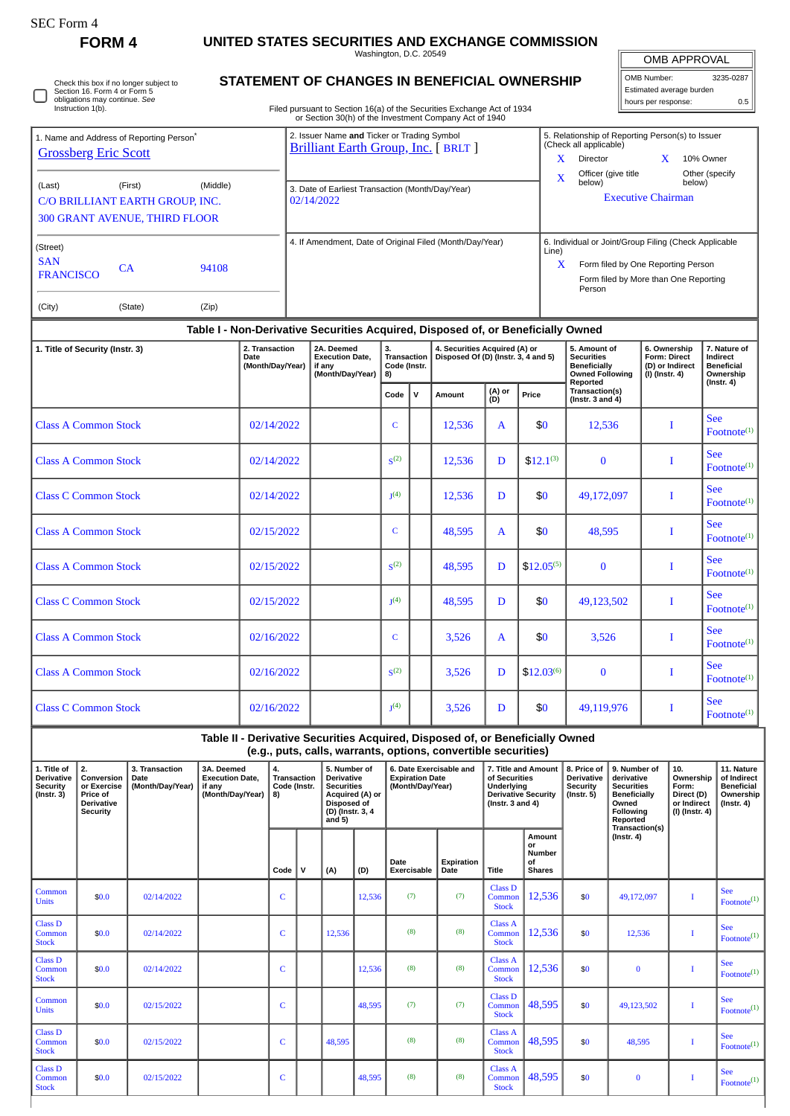| SEC Form - |  |
|------------|--|
|------------|--|

 $\Box$ 

## **FORM 4 UNITED STATES SECURITIES AND EXCHANGE COMMISSION**

Washington, D.C. 20549

OMB APPROVAL

| OMB Number:              | 3235-0287 |
|--------------------------|-----------|
| Estimated average burden |           |
| hours per response:      | 0.5       |

| Check this box if no longer subject to |
|----------------------------------------|
|                                        |
| Section 16. Form 4 or Form 5           |
| obligations may continue. See          |
| Instruction 1(b).                      |

# **STATEMENT OF CHANGES IN BENEFICIAL OWNERSHIP**

Filed pursuant to Section 16(a) of the Securities Exchange Act of 1934 or Section 30(h) of the Investment Company Act of 1940

| 1. Name and Address of Reporting Person <sup>®</sup> |         |          | 2. Issuer Name and Ticker or Trading Symbol<br><b>Brilliant Earth Group, Inc.</b> [ BRLT ] |       | 5. Relationship of Reporting Person(s) to Issuer<br>(Check all applicable) |  |                          |  |  |  |  |
|------------------------------------------------------|---------|----------|--------------------------------------------------------------------------------------------|-------|----------------------------------------------------------------------------|--|--------------------------|--|--|--|--|
| <b>Grossberg Eric Scott</b>                          |         |          |                                                                                            | x     | <b>Director</b>                                                            |  | 10% Owner                |  |  |  |  |
| (Last)                                               | (First) | (Middle) | 3. Date of Earliest Transaction (Month/Day/Year)                                           | X     | Officer (give title<br>below)                                              |  | Other (specify<br>below) |  |  |  |  |
| C/O BRILLIANT EARTH GROUP, INC.                      |         |          | 02/14/2022                                                                                 |       | <b>Executive Chairman</b>                                                  |  |                          |  |  |  |  |
| <b>300 GRANT AVENUE, THIRD FLOOR</b>                 |         |          |                                                                                            |       |                                                                            |  |                          |  |  |  |  |
| (Street)                                             |         |          | 4. If Amendment, Date of Original Filed (Month/Day/Year)                                   | Line) | 6. Individual or Joint/Group Filing (Check Applicable                      |  |                          |  |  |  |  |
| <b>SAN</b><br><b>FRANCISCO</b>                       | СA      | 94108    |                                                                                            | X     | Form filed by One Reporting Person                                         |  |                          |  |  |  |  |
|                                                      |         |          |                                                                                            |       | Form filed by More than One Reporting<br>Person                            |  |                          |  |  |  |  |
| (City)                                               | (State) | (Zip)    |                                                                                            |       |                                                                            |  |                          |  |  |  |  |

### **Table I - Non-Derivative Securities Acquired, Disposed of, or Beneficially Owned**

| 1. Title of Security (Instr. 3) | 2. Transaction<br><b>Date</b><br>(Month/Day/Year) | 2A. Deemed<br><b>Execution Date,</b><br>if any<br>(Month/Day/Year) | 3.<br><b>Transaction</b><br>Code (Instr.<br>8) |             | 4. Securities Acquired (A) or<br>Disposed Of (D) (Instr. 3, 4 and 5) |               |                | 5. Amount of<br><b>Securities</b><br><b>Beneficially</b><br><b>Owned Following</b> | 6. Ownership<br>Form: Direct<br>(D) or Indirect<br>(I) (Instr. 4) | 7. Nature of<br>Indirect<br><b>Beneficial</b><br>Ownership |  |
|---------------------------------|---------------------------------------------------|--------------------------------------------------------------------|------------------------------------------------|-------------|----------------------------------------------------------------------|---------------|----------------|------------------------------------------------------------------------------------|-------------------------------------------------------------------|------------------------------------------------------------|--|
|                                 |                                                   |                                                                    | Code                                           | $\mathbf v$ | Amount                                                               | (A) or<br>(D) | Price          | Reported<br>Transaction(s)<br>(Instr. $3$ and $4$ )                                |                                                                   | $($ Instr. 4 $)$                                           |  |
| <b>Class A Common Stock</b>     | 02/14/2022                                        |                                                                    | $\mathbf C$                                    |             | 12,536                                                               | $\mathbf{A}$  | \$0            | 12,536                                                                             |                                                                   | <b>See</b><br>Footnote <sup>(1)</sup>                      |  |
| <b>Class A Common Stock</b>     | 02/14/2022                                        |                                                                    | S <sup>(2)</sup>                               |             | 12,536                                                               | D             | $$12.1^{(3)}$  | $\bf{0}$                                                                           | I                                                                 | <b>See</b><br>Footnote <sup>(1)</sup>                      |  |
| <b>Class C Common Stock</b>     | 02/14/2022                                        |                                                                    | $1(4)$                                         |             | 12,536                                                               | D             | \$0            | 49,172,097                                                                         | T                                                                 | <b>See</b><br>Footnote <sup>(1)</sup>                      |  |
| <b>Class A Common Stock</b>     | 02/15/2022                                        |                                                                    | $\mathsf{C}$                                   |             | 48,595                                                               | $\mathbf{A}$  | \$0            | 48.595                                                                             |                                                                   | <b>See</b><br>Footnote <sup>(1)</sup>                      |  |
| <b>Class A Common Stock</b>     | 02/15/2022                                        |                                                                    | S <sup>(2)</sup>                               |             | 48.595                                                               | D             | $$12.05^{(5)}$ | $\mathbf{0}$                                                                       | I                                                                 | <b>See</b><br>Footnote <sup>(1)</sup>                      |  |
| <b>Class C Common Stock</b>     | 02/15/2022                                        |                                                                    | I <sub>1</sub> (4)                             |             | 48,595                                                               | D             | \$0            | 49,123,502                                                                         | I                                                                 | <b>See</b><br>$\text{Footnote}^{(1)}$                      |  |
| <b>Class A Common Stock</b>     | 02/16/2022                                        |                                                                    | $\mathsf{C}$                                   |             | 3,526                                                                | $\mathbf{A}$  | \$0            | 3,526                                                                              | Т                                                                 | <b>See</b><br>Footnote <sup>(1)</sup>                      |  |
| <b>Class A Common Stock</b>     | 02/16/2022                                        |                                                                    | S <sup>(2)</sup>                               |             | 3,526                                                                | D             | $$12.03^{(6)}$ | $\mathbf{0}$                                                                       | T                                                                 | <b>See</b><br>Footnote <sup>(1)</sup>                      |  |
| <b>Class C Common Stock</b>     | 02/16/2022                                        |                                                                    | I <sub>1</sub> (4)                             |             | 3,526                                                                | D             | \$0            | 49,119,976                                                                         | Т                                                                 | <b>See</b><br>Footnote <sup>(1)</sup>                      |  |

**Table II - Derivative Securities Acquired, Disposed of, or Beneficially Owned (e.g., puts, calls, warrants, options, convertible securities)**

| 1. Title of<br>Derivative<br><b>Security</b><br>$($ Instr. 3 $)$ | 2.<br>Conversion<br>or Exercise<br>Price of<br><b>Derivative</b><br><b>Security</b> | 3. Transaction<br>Date<br>(Month/Day/Year) | 3A. Deemed<br><b>Execution Date.</b><br>if any<br>(Month/Day/Year) | 4.<br><b>Transaction</b><br>Code (Instr.<br>8) |              | 5. Number of<br><b>Derivative</b><br><b>Securities</b><br>Acquired (A) or<br><b>Disposed of</b><br>(D) (Instr. 3, 4<br>and $5)$ |        | 6. Date Exercisable and<br><b>Expiration Date</b><br>(Month/Day/Year) |                    | 7. Title and Amount<br>of Securities<br>Underlying<br><b>Derivative Security</b><br>( $lnstr. 3 and 4$ ) |                                                      | 8. Price of<br><b>Derivative</b><br>Security<br>$($ lnstr. 5 $)$ | 9. Number of<br>derivative<br><b>Securities</b><br>Beneficially<br>Owned<br>Following<br>Reported<br>Transaction(s) | 10.<br>Ownership<br>Form:<br>Direct (D)<br>or Indirect<br>(I) (Instr. 4) | 11. Nature<br>of Indirect<br><b>Beneficial</b><br>Ownership<br>$($ Instr. 4 $)$ |
|------------------------------------------------------------------|-------------------------------------------------------------------------------------|--------------------------------------------|--------------------------------------------------------------------|------------------------------------------------|--------------|---------------------------------------------------------------------------------------------------------------------------------|--------|-----------------------------------------------------------------------|--------------------|----------------------------------------------------------------------------------------------------------|------------------------------------------------------|------------------------------------------------------------------|---------------------------------------------------------------------------------------------------------------------|--------------------------------------------------------------------------|---------------------------------------------------------------------------------|
|                                                                  |                                                                                     |                                            |                                                                    | Code                                           | $\mathsf{v}$ | (A)                                                                                                                             | (D)    | Date<br>Exercisable                                                   | Expiration<br>Date | <b>Title</b>                                                                                             | Amount<br>or<br><b>Number</b><br>of<br><b>Shares</b> |                                                                  | $($ Instr. 4 $)$                                                                                                    |                                                                          |                                                                                 |
| Common<br><b>Units</b>                                           | \$0.0                                                                               | 02/14/2022                                 |                                                                    | C                                              |              |                                                                                                                                 | 12,536 | (7)                                                                   | (7)                | Class <sub>D</sub><br>Common<br><b>Stock</b>                                                             | 12,536                                               | \$0                                                              | 49,172,097                                                                                                          | T                                                                        | See<br>Footnote <sup>(1)</sup>                                                  |
| <b>Class D</b><br>Common<br><b>Stock</b>                         | \$0.0                                                                               | 02/14/2022                                 |                                                                    | C                                              |              | 12,536                                                                                                                          |        | (8)                                                                   | (8)                | Class A<br>Common<br><b>Stock</b>                                                                        | 12,536                                               | \$0                                                              | 12,536                                                                                                              | T                                                                        | See<br>Footnote <sup>(1)</sup>                                                  |
| Class D<br>Common<br><b>Stock</b>                                | \$0.0                                                                               | 02/14/2022                                 |                                                                    | C                                              |              |                                                                                                                                 | 12,536 | (8)                                                                   | (8)                | Class A<br>Common<br><b>Stock</b>                                                                        | 12,536                                               | \$0                                                              | $\bf{0}$                                                                                                            |                                                                          | See<br>Footnote <sup>(1)</sup>                                                  |
| Common<br><b>Units</b>                                           | \$0.0                                                                               | 02/15/2022                                 |                                                                    | C                                              |              |                                                                                                                                 | 48.595 | (7)                                                                   | (7)                | Class D<br>Common<br><b>Stock</b>                                                                        | 48,595                                               | \$0                                                              | 49,123,502                                                                                                          | T                                                                        | See<br>Footnote <sup>(1)</sup>                                                  |
| <b>Class D</b><br>Common<br><b>Stock</b>                         | \$0.0                                                                               | 02/15/2022                                 |                                                                    | C                                              |              | 48.595                                                                                                                          |        | (8)                                                                   | (8)                | Class A<br>Common<br><b>Stock</b>                                                                        | 48,595                                               | \$0                                                              | 48.595                                                                                                              |                                                                          | See<br>$\text{Footnote}^{(1)}$                                                  |
| <b>Class D</b><br>Common<br><b>Stock</b>                         | \$0.0                                                                               | 02/15/2022                                 |                                                                    | C                                              |              |                                                                                                                                 | 48,595 | (8)                                                                   | (8)                | Class A<br>Common<br><b>Stock</b>                                                                        | 48,595                                               | \$0                                                              | $\bf{0}$                                                                                                            |                                                                          | See<br>Footnote <sup>(1)</sup>                                                  |